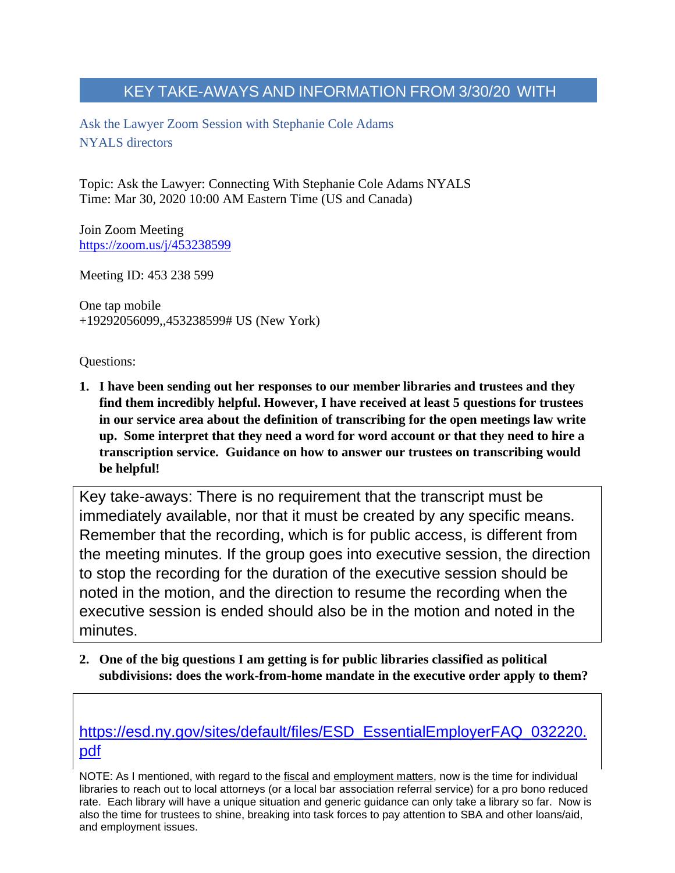$\mathbb{R}^n$  STEPHANIE ADAMS (IN BOXES)  $\mathbb{R}^n$  and  $\mathbb{R}^n$ Ask the Lawyer Zoom Session with Stephanie Cole Adams NYALS directors

Topic: Ask the Lawyer: Connecting With Stephanie Cole Adams NYALS Time: Mar 30, 2020 10:00 AM Eastern Time (US and Canada)

Join Zoom Meeting <https://zoom.us/j/453238599>

Meeting ID: 453 238 599

One tap mobile +19292056099,,453238599# US (New York)

Questions:

**1. I have been sending out her responses to our member libraries and trustees and they find them incredibly helpful. However, I have received at least 5 questions for trustees in our service area about the definition of transcribing for the open meetings law write up. Some interpret that they need a word for word account or that they need to hire a transcription service. Guidance on how to answer our trustees on transcribing would be helpful!**

Key take-aways: There is no requirement that the transcript must be immediately available, nor that it must be created by any specific means. Remember that the recording, which is for public access, is different from the meeting minutes. If the group goes into executive session, the direction to stop the recording for the duration of the executive session should be noted in the motion, and the direction to resume the recording when the executive session is ended should also be in the motion and noted in the minutes.

**2. One of the big questions I am getting is for public libraries classified as political subdivisions: does the work-from-home mandate in the executive order apply to them?**

[https://esd.ny.gov/sites/default/files/ESD\\_EssentialEmployerFAQ\\_032220.](https://esd.ny.gov/sites/default/files/ESD_EssentialEmployerFAQ_032220.pdf) [pdf](https://esd.ny.gov/sites/default/files/ESD_EssentialEmployerFAQ_032220.pdf)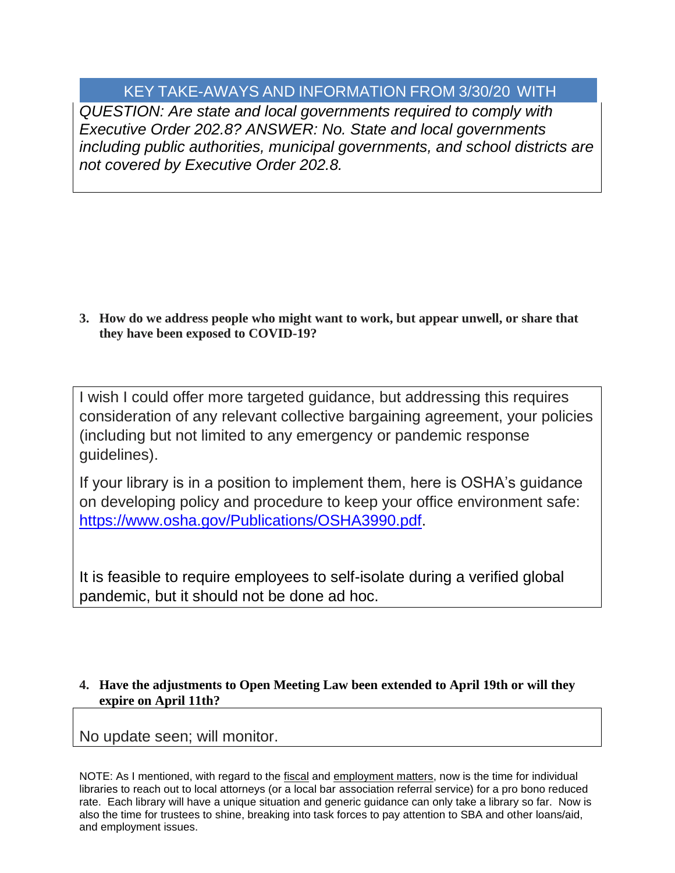*QUESTION: Are state and local governments required to comply with Executive Order 202.8? ANSWER: No. State and local governments including public authorities, municipal governments, and school districts are not covered by Executive Order 202.8.*

**3. How do we address people who might want to work, but appear unwell, or share that they have been exposed to COVID-19?**

I wish I could offer more targeted guidance, but addressing this requires consideration of any relevant collective bargaining agreement, your policies (including but not limited to any emergency or pandemic response guidelines).

If your library is in a position to implement them, here is OSHA's guidance on developing policy and procedure to keep your office environment safe: [https://www.osha.gov/Publications/OSHA3990.pdf.](https://www.osha.gov/Publications/OSHA3990.pdf)

It is feasible to require employees to self-isolate during a verified global pandemic, but it should not be done ad hoc.

### **4. Have the adjustments to Open Meeting Law been extended to April 19th or will they expire on April 11th?**

No update seen; will monitor.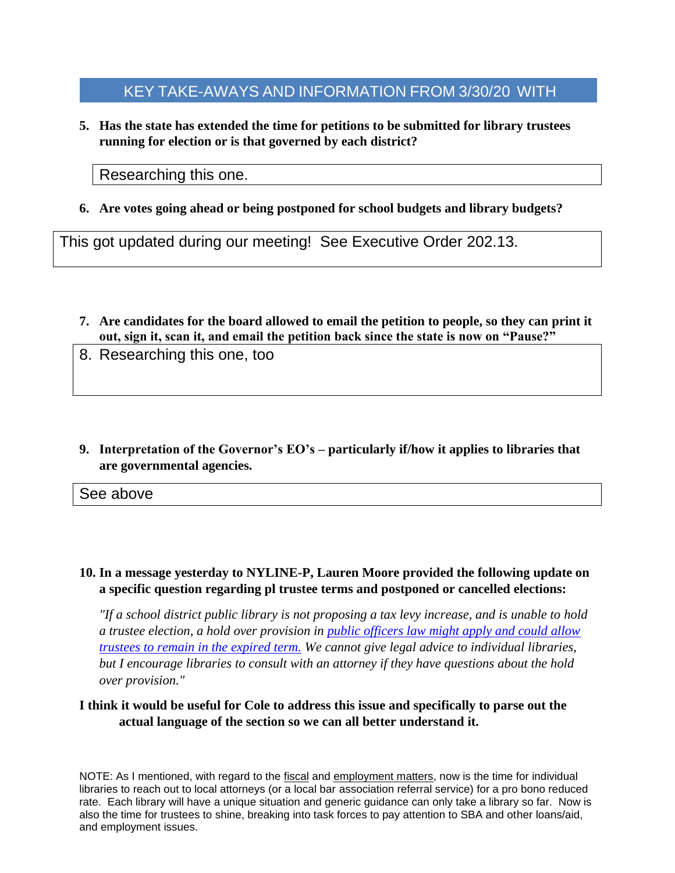KEY TAKE-AWAYS AND INFORMATION FROM 3/30/20 WITH  $\mathbb{R}^n$  STEPHANIE ADAMS (IN BOXES)  $\mathbb{R}^n$  and  $\mathbb{R}^n$ 

**5. Has the state has extended the time for petitions to be submitted for library trustees running for election or is that governed by each district?** 

Researching this one.

**6. Are votes going ahead or being postponed for school budgets and library budgets?**

This got updated during our meeting! See Executive Order 202.13.

- **7. Are candidates for the board allowed to email the petition to people, so they can print it out, sign it, scan it, and email the petition back since the state is now on "Pause?"**
- 8. Researching this one, too
- **9. Interpretation of the Governor's EO's – particularly if/how it applies to libraries that are governmental agencies.**

See above

### **10. In a message yesterday to NYLINE-P, Lauren Moore provided the following update on a specific question regarding pl trustee terms and postponed or cancelled elections:**

*"If a school district public library is not proposing a tax levy increase, and is unable to hold a trustee election, a hold over provision in [public officers law might apply and could allow](https://www.nysenate.gov/legislation/laws/PBO/5)  [trustees to remain in the expired term.](https://www.nysenate.gov/legislation/laws/PBO/5) We cannot give legal advice to individual libraries, but I encourage libraries to consult with an attorney if they have questions about the hold over provision."*

#### **I think it would be useful for Cole to address this issue and specifically to parse out the actual language of the section so we can all better understand it.**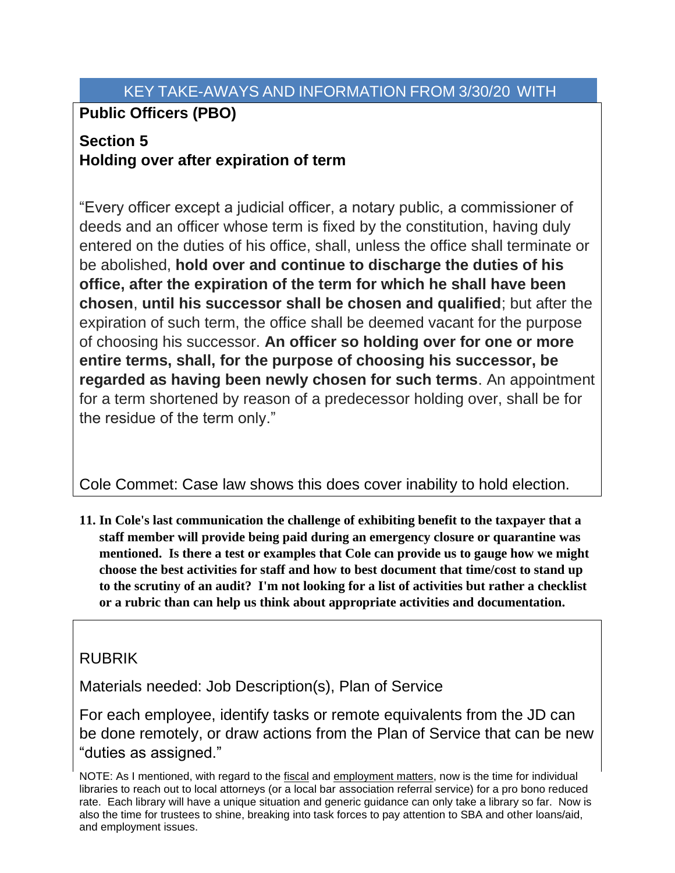# **Public Officers (PBO)**

# **Section 5 Holding over after expiration of term**

"Every officer except a judicial officer, a notary public, a commissioner of deeds and an officer whose term is fixed by the constitution, having duly entered on the duties of his office, shall, unless the office shall terminate or be abolished, **hold over and continue to discharge the duties of his office, after the expiration of the term for which he shall have been chosen**, **until his successor shall be chosen and qualified**; but after the expiration of such term, the office shall be deemed vacant for the purpose of choosing his successor. **An officer so holding over for one or more entire terms, shall, for the purpose of choosing his successor, be regarded as having been newly chosen for such terms**. An appointment for a term shortened by reason of a predecessor holding over, shall be for the residue of the term only."

Cole Commet: Case law shows this does cover inability to hold election.

**11. In Cole's last communication the challenge of exhibiting benefit to the taxpayer that a staff member will provide being paid during an emergency closure or quarantine was mentioned. Is there a test or examples that Cole can provide us to gauge how we might choose the best activities for staff and how to best document that time/cost to stand up to the scrutiny of an audit? I'm not looking for a list of activities but rather a checklist or a rubric than can help us think about appropriate activities and documentation.**

# RUBRIK

Materials needed: Job Description(s), Plan of Service

For each employee, identify tasks or remote equivalents from the JD can be done remotely, or draw actions from the Plan of Service that can be new "duties as assigned."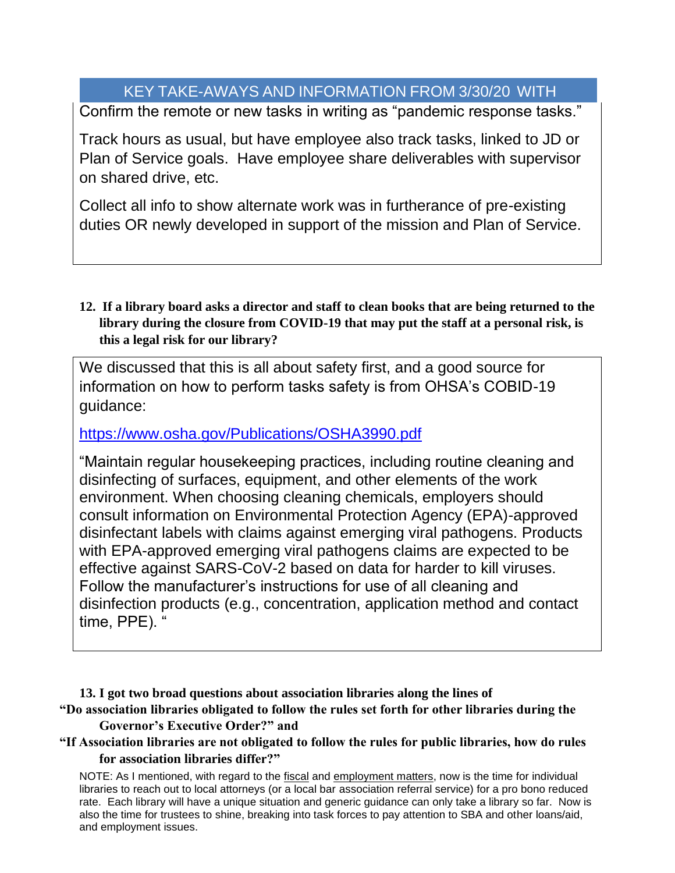Confirm the remote or new tasks in writing as "pandemic response tasks."

Track hours as usual, but have employee also track tasks, linked to JD or Plan of Service goals. Have employee share deliverables with supervisor on shared drive, etc.

Collect all info to show alternate work was in furtherance of pre-existing duties OR newly developed in support of the mission and Plan of Service.

**12. If a library board asks a director and staff to clean books that are being returned to the library during the closure from COVID-19 that may put the staff at a personal risk, is this a legal risk for our library?**

We discussed that this is all about safety first, and a good source for information on how to perform tasks safety is from OHSA's COBID-19 guidance:

<https://www.osha.gov/Publications/OSHA3990.pdf>

"Maintain regular housekeeping practices, including routine cleaning and disinfecting of surfaces, equipment, and other elements of the work environment. When choosing cleaning chemicals, employers should consult information on Environmental Protection Agency (EPA)-approved disinfectant labels with claims against emerging viral pathogens. Products with EPA-approved emerging viral pathogens claims are expected to be effective against SARS-CoV-2 based on data for harder to kill viruses. Follow the manufacturer's instructions for use of all cleaning and disinfection products (e.g., concentration, application method and contact time, PPE). '

**13. I got two broad questions about association libraries along the lines of "Do association libraries obligated to follow the rules set forth for other libraries during the Governor's Executive Order?" and** 

### **"If Association libraries are not obligated to follow the rules for public libraries, how do rules for association libraries differ?"**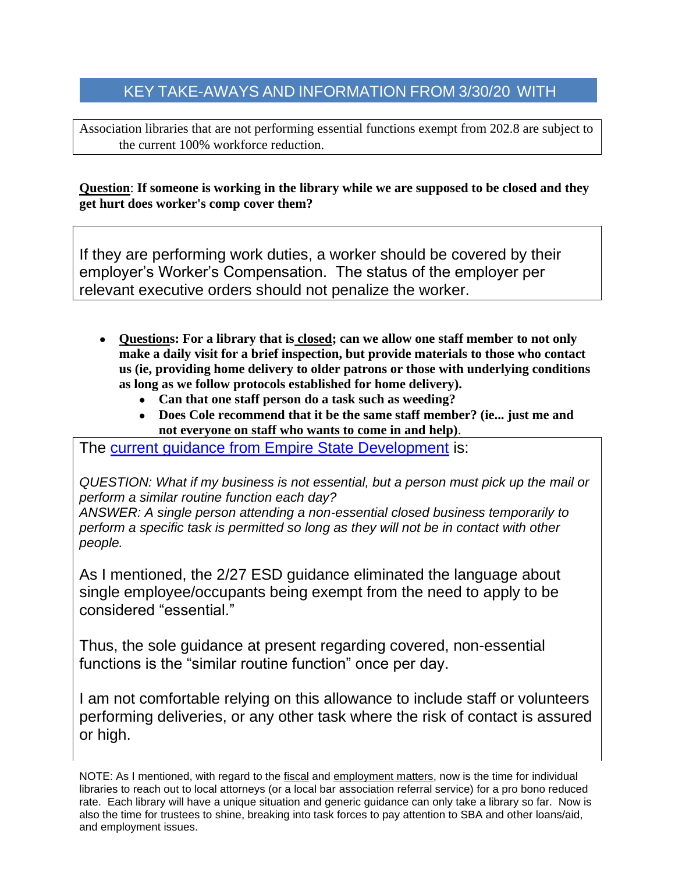### KEY TAKE-AWAYS AND INFORMATION FROM 3/30/20 WITH  $\mathbb{R}^n$  STEPHANIE ADAMS (IN BOXES)  $\mathbb{R}^n$  and  $\mathbb{R}^n$

Association libraries that are not performing essential functions exempt from 202.8 are subject to the current 100% workforce reduction.

**Question**: **If someone is working in the library while we are supposed to be closed and they get hurt does worker's comp cover them?**

If they are performing work duties, a worker should be covered by their employer's Worker's Compensation. The status of the employer per relevant executive orders should not penalize the worker.

- **Questions: For a library that is closed; can we allow one staff member to not only make a daily visit for a brief inspection, but provide materials to those who contact us (ie, providing home delivery to older patrons or those with underlying conditions as long as we follow protocols established for home delivery).**
	- **Can that one staff person do a task such as weeding?**
	- **Does Cole recommend that it be the same staff member? (ie... just me and not everyone on staff who wants to come in and help)**.

The [current guidance from Empire State Development](https://esd.ny.gov/sites/default/files/ESD_EssentialEmployerFAQ_032220.pdf) is:

*QUESTION: What if my business is not essential, but a person must pick up the mail or perform a similar routine function each day?* 

*ANSWER: A single person attending a non-essential closed business temporarily to perform a specific task is permitted so long as they will not be in contact with other people.*

As I mentioned, the 2/27 ESD guidance eliminated the language about single employee/occupants being exempt from the need to apply to be considered "essential."

Thus, the sole guidance at present regarding covered, non-essential functions is the "similar routine function" once per day.

I am not comfortable relying on this allowance to include staff or volunteers performing deliveries, or any other task where the risk of contact is assured or high.